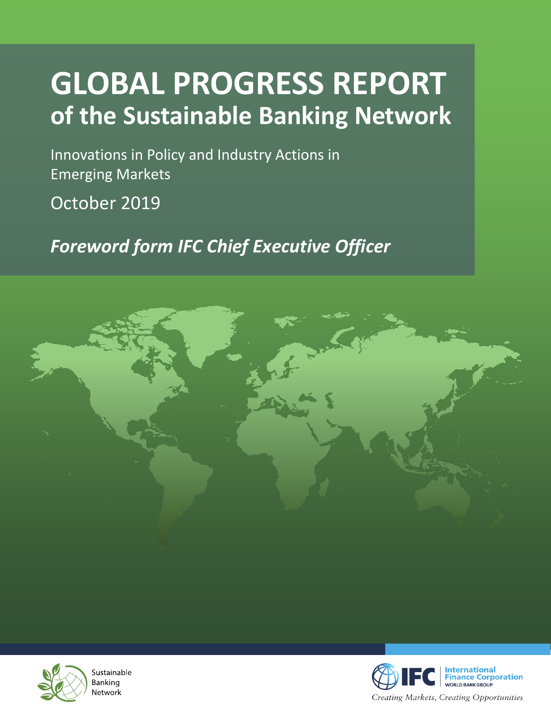## **GLOBAL PROGRESS REPORT of the Sustainable Banking Network**

Innovations in Policy and Industry Actions in Emerging Markets

October 2019

*Foreword form IFC Chief Executive Officer*





Sustainable Banking Network